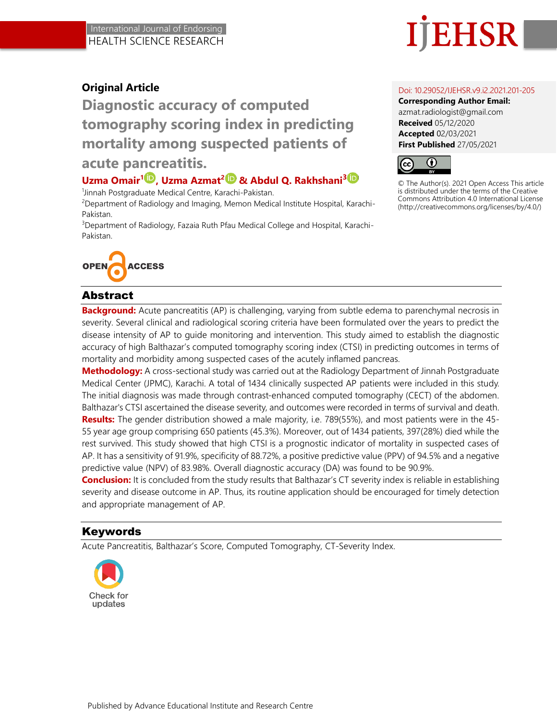# EHSR

# **Original Article**

**Diagnostic accuracy of computed tomography scoring index in predicting mortality among suspected patients of** 

# **acute pancreatitis.**

# **Uzma Omair[1](http://orcid.org/0000-0002-7912-2128) , Uzma Azmat<sup>2</sup> & Abdul Q. Rakhshani<sup>3</sup>**

1 Jinnah Postgraduate Medical Centre, Karachi-Pakistan.

<sup>2</sup>Department of Radiology and Imaging, Memon Medical Institute Hospital, Karachi-Pakistan.

<sup>3</sup>Department of Radiology, Fazaia Ruth Pfau Medical College and Hospital, Karachi-Pakistan.



## Abstract

**Background:** Acute pancreatitis (AP) is challenging, varying from subtle edema to parenchymal necrosis in severity. Several clinical and radiological scoring criteria have been formulated over the years to predict the disease intensity of AP to guide monitoring and intervention. This study aimed to establish the diagnostic accuracy of high Balthazar's computed tomography scoring index (CTSI) in predicting outcomes in terms of mortality and morbidity among suspected cases of the acutely inflamed pancreas.

**Methodology:** A cross-sectional study was carried out at the Radiology Department of Jinnah Postgraduate Medical Center (JPMC), Karachi. A total of 1434 clinically suspected AP patients were included in this study. The initial diagnosis was made through contrast-enhanced computed tomography (CECT) of the abdomen. Balthazar's CTSI ascertained the disease severity, and outcomes were recorded in terms of survival and death. **Results:** The gender distribution showed a male majority, i.e. 789(55%), and most patients were in the 45- 55 year age group comprising 650 patients (45.3%). Moreover, out of 1434 patients, 397(28%) died while the rest survived. This study showed that high CTSI is a prognostic indicator of mortality in suspected cases of AP. It has a sensitivity of 91.9%, specificity of 88.72%, a positive predictive value (PPV) of 94.5% and a negative predictive value (NPV) of 83.98%. Overall diagnostic accuracy (DA) was found to be 90.9%.

**Conclusion:** It is concluded from the study results that Balthazar's CT severity index is reliable in establishing severity and disease outcome in AP. Thus, its routine application should be encouraged for timely detection and appropriate management of AP.

## Keywords

Acute Pancreatitis, Balthazar's Score, Computed Tomography, CT-Severity Index.



#### Doi: 10.29052/IJEHSR.v9.i2.2021.201-205

**Corresponding Author Email:** azmat.radiologist@gmail.com **Received** 05/12/2020 **Accepted** 02/03/2021 **First Published** 27/05/2021



© The Author(s). 2021 Open Access This article is distributed under the terms of the Creative Commons Attribution 4.0 International License (http://creativecommons.org/licenses/by/4.0/)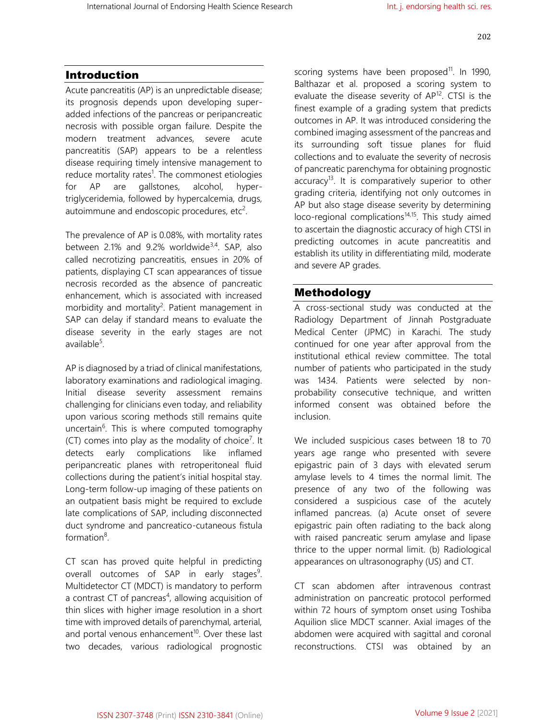### Introduction

Acute pancreatitis (AP) is an unpredictable disease; its prognosis depends upon developing superadded infections of the pancreas or peripancreatic necrosis with possible organ failure. Despite the modern treatment advances, severe acute pancreatitis (SAP) appears to be a relentless disease requiring timely intensive management to reduce mortality rates<sup>1</sup>. The commonest etiologies for AP are gallstones, alcohol, hypertriglyceridemia, followed by hypercalcemia, drugs, autoimmune and endoscopic procedures, etc<sup>2</sup>.

The prevalence of AP is 0.08%, with mortality rates between 2.1% and 9.2% worldwide<sup>3,4</sup>. SAP, also called necrotizing pancreatitis, ensues in 20% of patients, displaying CT scan appearances of tissue necrosis recorded as the absence of pancreatic enhancement, which is associated with increased morbidity and mortality<sup>2</sup>. Patient management in SAP can delay if standard means to evaluate the disease severity in the early stages are not available<sup>5</sup>.

AP is diagnosed by a triad of clinical manifestations, laboratory examinations and radiological imaging. Initial disease severity assessment remains challenging for clinicians even today, and reliability upon various scoring methods still remains quite uncertain<sup>6</sup>. This is where computed tomography (CT) comes into play as the modality of choice<sup>7</sup>. It detects early complications like inflamed peripancreatic planes with retroperitoneal fluid collections during the patient's initial hospital stay. Long-term follow-up imaging of these patients on an outpatient basis might be required to exclude late complications of SAP, including disconnected duct syndrome and pancreatico-cutaneous fistula formation<sup>8</sup>.

CT scan has proved quite helpful in predicting overall outcomes of SAP in early stages<sup>9</sup>. Multidetector CT (MDCT) is mandatory to perform a contrast CT of pancreas<sup>4</sup>, allowing acquisition of thin slices with higher image resolution in a short time with improved details of parenchymal, arterial, and portal venous enhancement $10$ . Over these last two decades, various radiological prognostic

scoring systems have been proposed<sup>11</sup>. In 1990, Balthazar et al. proposed a scoring system to evaluate the disease severity of AP<sup>12</sup>. CTSI is the finest example of a grading system that predicts outcomes in AP. It was introduced considering the combined imaging assessment of the pancreas and its surrounding soft tissue planes for fluid collections and to evaluate the severity of necrosis of pancreatic parenchyma for obtaining prognostic accuracy<sup>13</sup>. It is comparatively superior to other grading criteria, identifying not only outcomes in AP but also stage disease severity by determining loco-regional complications<sup>14,15</sup>. This study aimed to ascertain the diagnostic accuracy of high CTSI in predicting outcomes in acute pancreatitis and establish its utility in differentiating mild, moderate and severe AP grades.

#### Methodology

A cross-sectional study was conducted at the Radiology Department of Jinnah Postgraduate Medical Center (JPMC) in Karachi. The study continued for one year after approval from the institutional ethical review committee. The total number of patients who participated in the study was 1434. Patients were selected by nonprobability consecutive technique, and written informed consent was obtained before the inclusion.

We included suspicious cases between 18 to 70 years age range who presented with severe epigastric pain of 3 days with elevated serum amylase levels to 4 times the normal limit. The presence of any two of the following was considered a suspicious case of the acutely inflamed pancreas. (a) Acute onset of severe epigastric pain often radiating to the back along with raised pancreatic serum amylase and lipase thrice to the upper normal limit. (b) Radiological appearances on ultrasonography (US) and CT.

CT scan abdomen after intravenous contrast administration on pancreatic protocol performed within 72 hours of symptom onset using Toshiba Aquilion slice MDCT scanner. Axial images of the abdomen were acquired with sagittal and coronal reconstructions. CTSI was obtained by an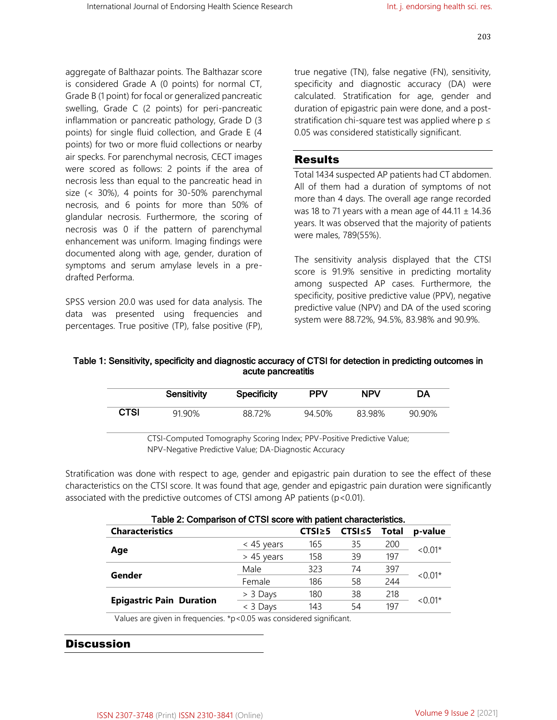aggregate of Balthazar points. The Balthazar score is considered Grade A (0 points) for normal CT, Grade B (1 point) for focal or generalized pancreatic swelling, Grade C (2 points) for peri-pancreatic inflammation or pancreatic pathology, Grade D (3 points) for single fluid collection, and Grade E (4 points) for two or more fluid collections or nearby air specks. For parenchymal necrosis, CECT images were scored as follows: 2 points if the area of necrosis less than equal to the pancreatic head in size (< 30%), 4 points for 30-50% parenchymal necrosis, and 6 points for more than 50% of glandular necrosis. Furthermore, the scoring of necrosis was 0 if the pattern of parenchymal enhancement was uniform. Imaging findings were documented along with age, gender, duration of symptoms and serum amylase levels in a predrafted Performa.

SPSS version 20.0 was used for data analysis. The data was presented using frequencies and percentages. True positive (TP), false positive (FP), true negative (TN), false negative (FN), sensitivity, specificity and diagnostic accuracy (DA) were calculated. Stratification for age, gender and duration of epigastric pain were done, and a poststratification chi-square test was applied where  $p \leq$ 0.05 was considered statistically significant.

#### Results

Total 1434 suspected AP patients had CT abdomen. All of them had a duration of symptoms of not more than 4 days. The overall age range recorded was 18 to 71 years with a mean age of  $44.11 \pm 14.36$ years. It was observed that the majority of patients were males, 789(55%).

The sensitivity analysis displayed that the CTSI score is 91.9% sensitive in predicting mortality among suspected AP cases. Furthermore, the specificity, positive predictive value (PPV), negative predictive value (NPV) and DA of the used scoring system were 88.72%, 94.5%, 83.98% and 90.9%.

#### Table 1: Sensitivity, specificity and diagnostic accuracy of CTSI for detection in predicting outcomes in acute pancreatitis

|             | <b>Sensitivity</b> | <b>Specificity</b> | <b>PPV</b> | <b>NPV</b> | DA     |  |  |
|-------------|--------------------|--------------------|------------|------------|--------|--|--|
| <b>CTSI</b> | 91.90%             | 88.72%             | 94.50%     | 83.98%     | 90.90% |  |  |
|             |                    |                    |            |            |        |  |  |

CTSI-Computed Tomography Scoring Index; PPV-Positive Predictive Value; NPV-Negative Predictive Value; DA-Diagnostic Accuracy

Stratification was done with respect to age, gender and epigastric pain duration to see the effect of these characteristics on the CTSI score. It was found that age, gender and epigastric pain duration were significantly associated with the predictive outcomes of CTSI among AP patients (p<0.01).

| Table 2: Comparison of CTSI score with patient characteristics. |              |               |               |       |           |  |  |  |
|-----------------------------------------------------------------|--------------|---------------|---------------|-------|-----------|--|--|--|
| <b>Characteristics</b>                                          |              | $CTS1 \geq 5$ | $CTS1 \leq 5$ | Total | p-value   |  |  |  |
|                                                                 | $<$ 45 years | 165           | 35            | 200   | $< 0.01*$ |  |  |  |
| Age                                                             | > 45 years   | 158           | 39            | 197   |           |  |  |  |
| Gender                                                          | Male         | 323           | 74            | 397   | $< 0.01*$ |  |  |  |
|                                                                 | Female       | 186           | 58            | 244   |           |  |  |  |
|                                                                 | > 3 Days     | 180           | 38            | 218   | $< 0.01*$ |  |  |  |
| <b>Epigastric Pain Duration</b>                                 | < 3 Days     | 143           | 54            | 197   |           |  |  |  |

Values are given in frequencies. \*p<0.05 was considered significant.

#### **Discussion**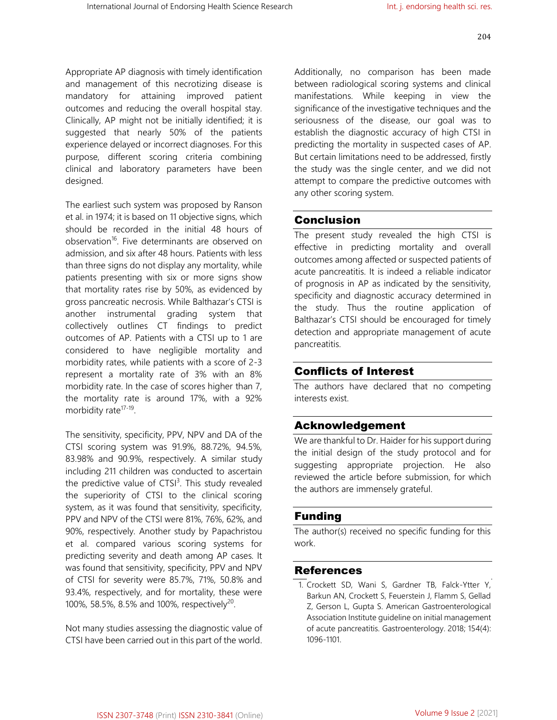Appropriate AP diagnosis with timely identification and management of this necrotizing disease is mandatory for attaining improved patient outcomes and reducing the overall hospital stay. Clinically, AP might not be initially identified; it is suggested that nearly 50% of the patients experience delayed or incorrect diagnoses. For this purpose, different scoring criteria combining clinical and laboratory parameters have been designed.

The earliest such system was proposed by Ranson et al. in 1974; it is based on 11 objective signs, which should be recorded in the initial 48 hours of observation<sup>16</sup>. Five determinants are observed on admission, and six after 48 hours. Patients with less than three signs do not display any mortality, while patients presenting with six or more signs show that mortality rates rise by 50%, as evidenced by gross pancreatic necrosis. While Balthazar's CTSI is another instrumental grading system that collectively outlines CT findings to predict outcomes of AP. Patients with a CTSI up to 1 are considered to have negligible mortality and morbidity rates, while patients with a score of 2-3 represent a mortality rate of 3% with an 8% morbidity rate. In the case of scores higher than 7, the mortality rate is around 17%, with a 92% morbidity rate<sup>17-19</sup>.

The sensitivity, specificity, PPV, NPV and DA of the CTSI scoring system was 91.9%, 88.72%, 94.5%, 83.98% and 90.9%, respectively. A similar study including 211 children was conducted to ascertain the predictive value of  $CTS1<sup>3</sup>$ . This study revealed the superiority of CTSI to the clinical scoring system, as it was found that sensitivity, specificity, PPV and NPV of the CTSI were 81%, 76%, 62%, and 90%, respectively. Another study by Papachristou et al. compared various scoring systems for predicting severity and death among AP cases. It was found that sensitivity, specificity, PPV and NPV of CTSI for severity were 85.7%, 71%, 50.8% and 93.4%, respectively, and for mortality, these were 100%, 58.5%, 8.5% and 100%, respectively<sup>20</sup>.

Not many studies assessing the diagnostic value of CTSI have been carried out in this part of the world.

Additionally, no comparison has been made between radiological scoring systems and clinical manifestations. While keeping in view the significance of the investigative techniques and the seriousness of the disease, our goal was to establish the diagnostic accuracy of high CTSI in predicting the mortality in suspected cases of AP. But certain limitations need to be addressed, firstly the study was the single center, and we did not attempt to compare the predictive outcomes with any other scoring system.

#### Conclusion

The present study revealed the high CTSI is effective in predicting mortality and overall outcomes among affected or suspected patients of acute pancreatitis. It is indeed a reliable indicator of prognosis in AP as indicated by the sensitivity, specificity and diagnostic accuracy determined in the study. Thus the routine application of Balthazar's CTSI should be encouraged for timely detection and appropriate management of acute pancreatitis.

#### Conflicts of Interest

The authors have declared that no competing interests exist.

#### Acknowledgement

We are thankful to Dr. Haider for his support during the initial design of the study protocol and for suggesting appropriate projection. He also reviewed the article before submission, for which the authors are immensely grateful.

#### Funding

The author(s) received no specific funding for this work.

#### References

1. Crockett SD, Wani S, Gardner TB, Falck-Ytter Y, Barkun AN, Crockett S, Feuerstein J, Flamm S, Gellad Z, Gerson L, Gupta S. American Gastroenterological Association Institute guideline on initial management of acute pancreatitis. Gastroenterology. 2018; 154(4): 1096-1101.